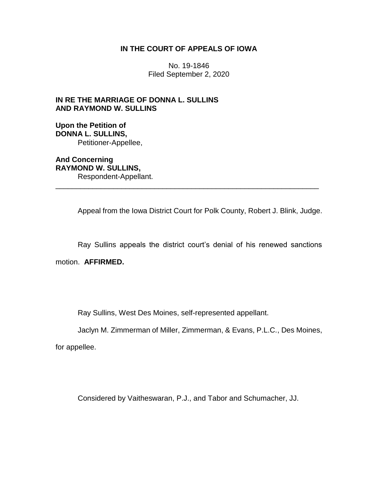## **IN THE COURT OF APPEALS OF IOWA**

No. 19-1846 Filed September 2, 2020

## **IN RE THE MARRIAGE OF DONNA L. SULLINS AND RAYMOND W. SULLINS**

**Upon the Petition of DONNA L. SULLINS,** Petitioner-Appellee,

**And Concerning RAYMOND W. SULLINS,** Respondent-Appellant.

Appeal from the Iowa District Court for Polk County, Robert J. Blink, Judge.

\_\_\_\_\_\_\_\_\_\_\_\_\_\_\_\_\_\_\_\_\_\_\_\_\_\_\_\_\_\_\_\_\_\_\_\_\_\_\_\_\_\_\_\_\_\_\_\_\_\_\_\_\_\_\_\_\_\_\_\_\_\_\_\_

Ray Sullins appeals the district court's denial of his renewed sanctions

motion. **AFFIRMED.**

Ray Sullins, West Des Moines, self-represented appellant.

Jaclyn M. Zimmerman of Miller, Zimmerman, & Evans, P.L.C., Des Moines,

for appellee.

Considered by Vaitheswaran, P.J., and Tabor and Schumacher, JJ.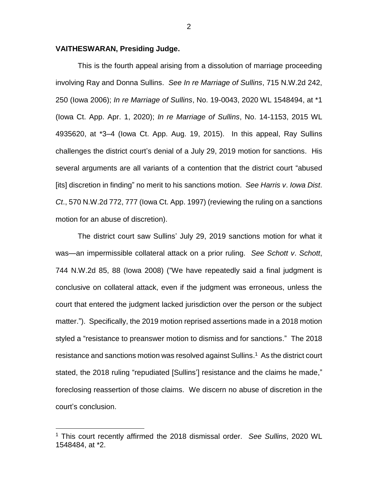## **VAITHESWARAN, Presiding Judge.**

This is the fourth appeal arising from a dissolution of marriage proceeding involving Ray and Donna Sullins. *See In re Marriage of Sullins*, 715 N.W.2d 242, 250 (Iowa 2006); *In re Marriage of Sullins*, No. 19-0043, 2020 WL 1548494, at \*1 (Iowa Ct. App. Apr. 1, 2020); *In re Marriage of Sullins*, No. 14-1153, 2015 WL 4935620, at \*3–4 (Iowa Ct. App. Aug. 19, 2015). In this appeal, Ray Sullins challenges the district court's denial of a July 29, 2019 motion for sanctions. His several arguments are all variants of a contention that the district court "abused [its] discretion in finding" no merit to his sanctions motion. *See Harris v*. *Iowa Dist*. *Ct*., 570 N.W.2d 772, 777 (Iowa Ct. App. 1997) (reviewing the ruling on a sanctions motion for an abuse of discretion).

The district court saw Sullins' July 29, 2019 sanctions motion for what it was—an impermissible collateral attack on a prior ruling. *See Schott v*. *Schott*, 744 N.W.2d 85, 88 (Iowa 2008) ("We have repeatedly said a final judgment is conclusive on collateral attack, even if the judgment was erroneous, unless the court that entered the judgment lacked jurisdiction over the person or the subject matter."). Specifically, the 2019 motion reprised assertions made in a 2018 motion styled a "resistance to preanswer motion to dismiss and for sanctions." The 2018 resistance and sanctions motion was resolved against Sullins.<sup>1</sup> As the district court stated, the 2018 ruling "repudiated [Sullins'] resistance and the claims he made," foreclosing reassertion of those claims. We discern no abuse of discretion in the court's conclusion.

 $\overline{a}$ 

<sup>1</sup> This court recently affirmed the 2018 dismissal order. *See Sullins*, 2020 WL 1548484, at \*2.